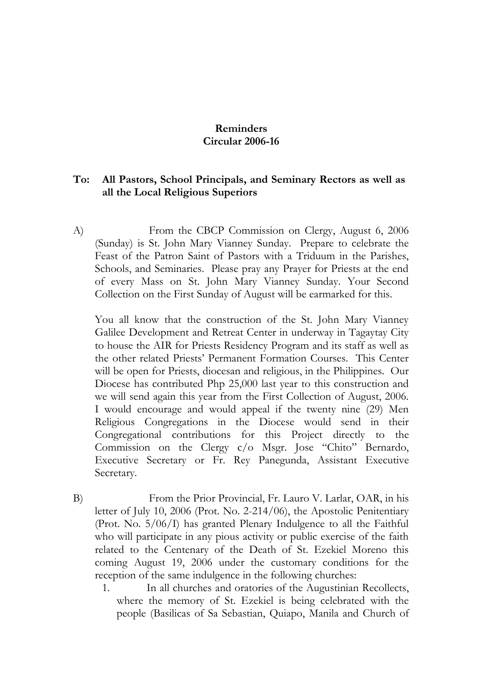## **Reminders Circular 2006-16**

## **To: All Pastors, School Principals, and Seminary Rectors as well as all the Local Religious Superiors**

A) From the CBCP Commission on Clergy, August 6, 2006 (Sunday) is St. John Mary Vianney Sunday. Prepare to celebrate the Feast of the Patron Saint of Pastors with a Triduum in the Parishes, Schools, and Seminaries. Please pray any Prayer for Priests at the end of every Mass on St. John Mary Vianney Sunday. Your Second Collection on the First Sunday of August will be earmarked for this.

You all know that the construction of the St. John Mary Vianney Galilee Development and Retreat Center in underway in Tagaytay City to house the AIR for Priests Residency Program and its staff as well as the other related Priests' Permanent Formation Courses. This Center will be open for Priests, diocesan and religious, in the Philippines. Our Diocese has contributed Php 25,000 last year to this construction and we will send again this year from the First Collection of August, 2006. I would encourage and would appeal if the twenty nine (29) Men Religious Congregations in the Diocese would send in their Congregational contributions for this Project directly to the Commission on the Clergy c/o Msgr. Jose "Chito" Bernardo, Executive Secretary or Fr. Rey Panegunda, Assistant Executive Secretary.

- B) From the Prior Provincial, Fr. Lauro V. Larlar, OAR, in his letter of July 10, 2006 (Prot. No. 2-214/06), the Apostolic Penitentiary (Prot. No. 5/06/I) has granted Plenary Indulgence to all the Faithful who will participate in any pious activity or public exercise of the faith related to the Centenary of the Death of St. Ezekiel Moreno this coming August 19, 2006 under the customary conditions for the reception of the same indulgence in the following churches:
	- 1. In all churches and oratories of the Augustinian Recollects, where the memory of St. Ezekiel is being celebrated with the people (Basilicas of Sa Sebastian, Quiapo, Manila and Church of